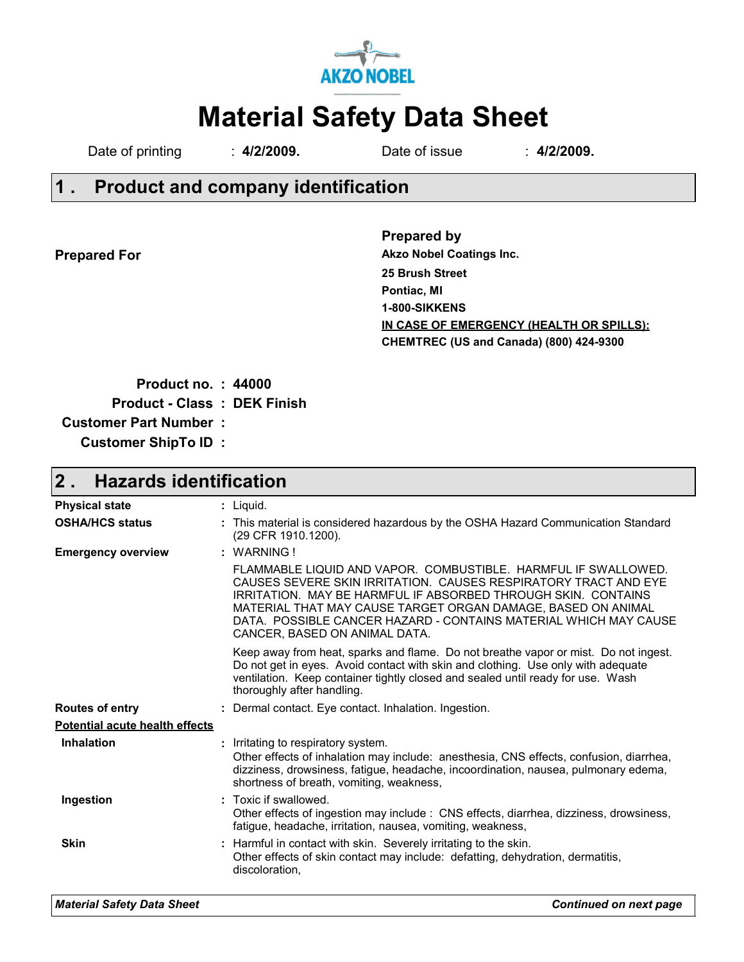

# **Material Safety Data Sheet**

Date of printing : **4/2/2009.** Date of issue : **4/2/2009.** 

## **Product and company identification 1 .**

**Prepared For**

**Prepared by 25 Brush Street Pontiac, MI 1-800-SIKKENS CHEMTREC (US and Canada) (800) 424-9300 IN CASE OF EMERGENCY (HEALTH OR SPILLS): Akzo Nobel Coatings Inc.**

| <b>Product no.: 44000</b>    |  |
|------------------------------|--|
| Product - Class : DEK Finish |  |
| <b>Customer Part Number:</b> |  |
| <b>Customer ShipTo ID:</b>   |  |

### **Hazards identification 2 .**

| <b>Physical state</b>                 | $:$ Liquid.                                                                                                                                                                                                                                                                                                                                                             |
|---------------------------------------|-------------------------------------------------------------------------------------------------------------------------------------------------------------------------------------------------------------------------------------------------------------------------------------------------------------------------------------------------------------------------|
| <b>OSHA/HCS status</b>                | : This material is considered hazardous by the OSHA Hazard Communication Standard<br>(29 CFR 1910.1200).                                                                                                                                                                                                                                                                |
| <b>Emergency overview</b>             | $:$ WARNING!                                                                                                                                                                                                                                                                                                                                                            |
|                                       | FLAMMABLE LIQUID AND VAPOR. COMBUSTIBLE. HARMFUL IF SWALLOWED.<br>CAUSES SEVERE SKIN IRRITATION. CAUSES RESPIRATORY TRACT AND EYE<br>IRRITATION. MAY BE HARMFUL IF ABSORBED THROUGH SKIN. CONTAINS<br>MATERIAL THAT MAY CAUSE TARGET ORGAN DAMAGE, BASED ON ANIMAL<br>DATA. POSSIBLE CANCER HAZARD - CONTAINS MATERIAL WHICH MAY CAUSE<br>CANCER, BASED ON ANIMAL DATA. |
|                                       | Keep away from heat, sparks and flame. Do not breathe vapor or mist. Do not ingest.<br>Do not get in eyes. Avoid contact with skin and clothing. Use only with adequate<br>ventilation. Keep container tightly closed and sealed until ready for use. Wash<br>thoroughly after handling.                                                                                |
| <b>Routes of entry</b>                | : Dermal contact. Eye contact. Inhalation. Ingestion.                                                                                                                                                                                                                                                                                                                   |
| <b>Potential acute health effects</b> |                                                                                                                                                                                                                                                                                                                                                                         |
| <b>Inhalation</b>                     | : Irritating to respiratory system.<br>Other effects of inhalation may include: anesthesia, CNS effects, confusion, diarrhea,<br>dizziness, drowsiness, fatigue, headache, incoordination, nausea, pulmonary edema,<br>shortness of breath, vomiting, weakness,                                                                                                         |
| Ingestion                             | : Toxic if swallowed.<br>Other effects of ingestion may include: CNS effects, diarrhea, dizziness, drowsiness,<br>fatigue, headache, irritation, nausea, vomiting, weakness,                                                                                                                                                                                            |
| <b>Skin</b>                           | : Harmful in contact with skin. Severely irritating to the skin.<br>Other effects of skin contact may include: defatting, dehydration, dermatitis,<br>discoloration.                                                                                                                                                                                                    |
|                                       |                                                                                                                                                                                                                                                                                                                                                                         |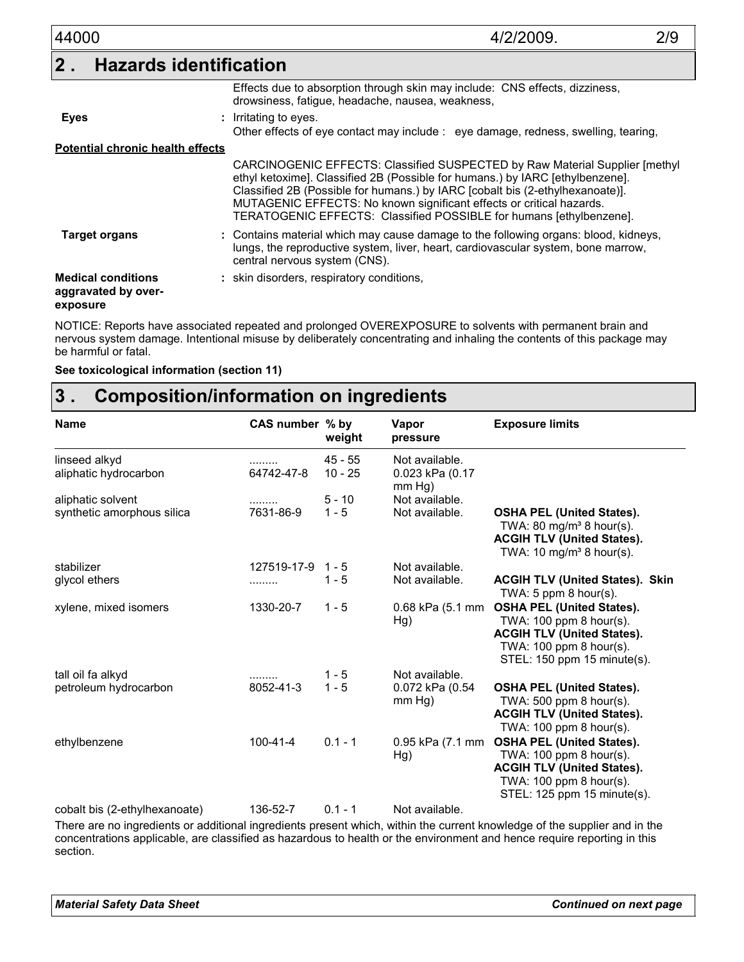| 44000                                                        | 2/9<br>4/2/2009                                                                                                                                                                                                                                                                                                                                                                               |
|--------------------------------------------------------------|-----------------------------------------------------------------------------------------------------------------------------------------------------------------------------------------------------------------------------------------------------------------------------------------------------------------------------------------------------------------------------------------------|
| 2 <sub>1</sub>                                               | <b>Hazards identification</b>                                                                                                                                                                                                                                                                                                                                                                 |
|                                                              | Effects due to absorption through skin may include: CNS effects, dizziness,<br>drowsiness, fatigue, headache, nausea, weakness,                                                                                                                                                                                                                                                               |
| <b>Eyes</b>                                                  | : Irritating to eyes.<br>Other effects of eye contact may include : eye damage, redness, swelling, tearing,                                                                                                                                                                                                                                                                                   |
| <b>Potential chronic health effects</b>                      |                                                                                                                                                                                                                                                                                                                                                                                               |
|                                                              | CARCINOGENIC EFFECTS: Classified SUSPECTED by Raw Material Supplier [methyl]<br>ethyl ketoxime]. Classified 2B (Possible for humans.) by IARC [ethylbenzene].<br>Classified 2B (Possible for humans.) by IARC [cobalt bis (2-ethylhexanoate)].<br>MUTAGENIC EFFECTS: No known significant effects or critical hazards.<br>TERATOGENIC EFFECTS: Classified POSSIBLE for humans [ethylbenzene]. |
| <b>Target organs</b>                                         | : Contains material which may cause damage to the following organs: blood, kidneys,<br>lungs, the reproductive system, liver, heart, cardiovascular system, bone marrow,<br>central nervous system (CNS).                                                                                                                                                                                     |
| <b>Medical conditions</b><br>aggravated by over-<br>exposure | : skin disorders, respiratory conditions,                                                                                                                                                                                                                                                                                                                                                     |

NOTICE: Reports have associated repeated and prolonged OVEREXPOSURE to solvents with permanent brain and nervous system damage. Intentional misuse by deliberately concentrating and inhaling the contents of this package may be harmful or fatal.

**See toxicological information (section 11)**

## **Composition/information on ingredients 3 .**

| <b>Name</b>                                                                                                              | CAS number % by   | weight                 | Vapor<br>pressure                           | <b>Exposure limits</b>                                                                                                                                                 |
|--------------------------------------------------------------------------------------------------------------------------|-------------------|------------------------|---------------------------------------------|------------------------------------------------------------------------------------------------------------------------------------------------------------------------|
| linseed alkyd<br>aliphatic hydrocarbon                                                                                   | .<br>64742-47-8   | $45 - 55$<br>$10 - 25$ | Not available.<br>0.023 kPa (0.17<br>mm Hg) |                                                                                                                                                                        |
| aliphatic solvent                                                                                                        | .                 | $5 - 10$               | Not available.                              |                                                                                                                                                                        |
| synthetic amorphous silica                                                                                               | 7631-86-9         | $1 - 5$                | Not available.                              | <b>OSHA PEL (United States).</b><br>TWA: 80 mg/m <sup>3</sup> 8 hour(s).<br><b>ACGIH TLV (United States).</b><br>TWA: 10 mg/m <sup>3</sup> 8 hour(s).                  |
| stabilizer                                                                                                               | 127519-17-9 1 - 5 |                        | Not available.                              |                                                                                                                                                                        |
| glycol ethers                                                                                                            | .                 | $1 - 5$                | Not available.                              | <b>ACGIH TLV (United States). Skin</b><br>TWA: $5$ ppm $8$ hour(s).                                                                                                    |
| xylene, mixed isomers                                                                                                    | 1330-20-7         | $1 - 5$                | Hg)                                         | 0.68 kPa (5.1 mm OSHA PEL (United States).<br>TWA: $100$ ppm 8 hour(s).<br><b>ACGIH TLV (United States).</b><br>TWA: 100 ppm 8 hour(s).<br>STEL: 150 ppm 15 minute(s). |
| tall oil fa alkyd                                                                                                        | .                 | $1 - 5$                | Not available.                              |                                                                                                                                                                        |
| petroleum hydrocarbon                                                                                                    | 8052-41-3         | $1 - 5$                | 0.072 kPa (0.54<br>mm Hg)                   | <b>OSHA PEL (United States).</b><br>TWA: 500 ppm 8 hour(s).<br><b>ACGIH TLV (United States).</b><br>TWA: 100 ppm 8 hour(s).                                            |
| ethylbenzene                                                                                                             | $100 - 41 - 4$    | $0.1 - 1$              | Hg)                                         | 0.95 kPa (7.1 mm OSHA PEL (United States).<br>TWA: 100 ppm 8 hour(s).<br><b>ACGIH TLV (United States).</b><br>TWA: 100 ppm 8 hour(s).<br>STEL: 125 ppm 15 minute(s).   |
| cobalt bis (2-ethylhexanoate)                                                                                            | 136-52-7          | $0.1 - 1$              | Not available.                              |                                                                                                                                                                        |
| There are no ingredients or additional ingredients present which within the current knowledge of the supplier and in the |                   |                        |                                             |                                                                                                                                                                        |

There are no ingredients or additional ingredients present which, within the current knowledge of the supplier and in the concentrations applicable, are classified as hazardous to health or the environment and hence require reporting in this section.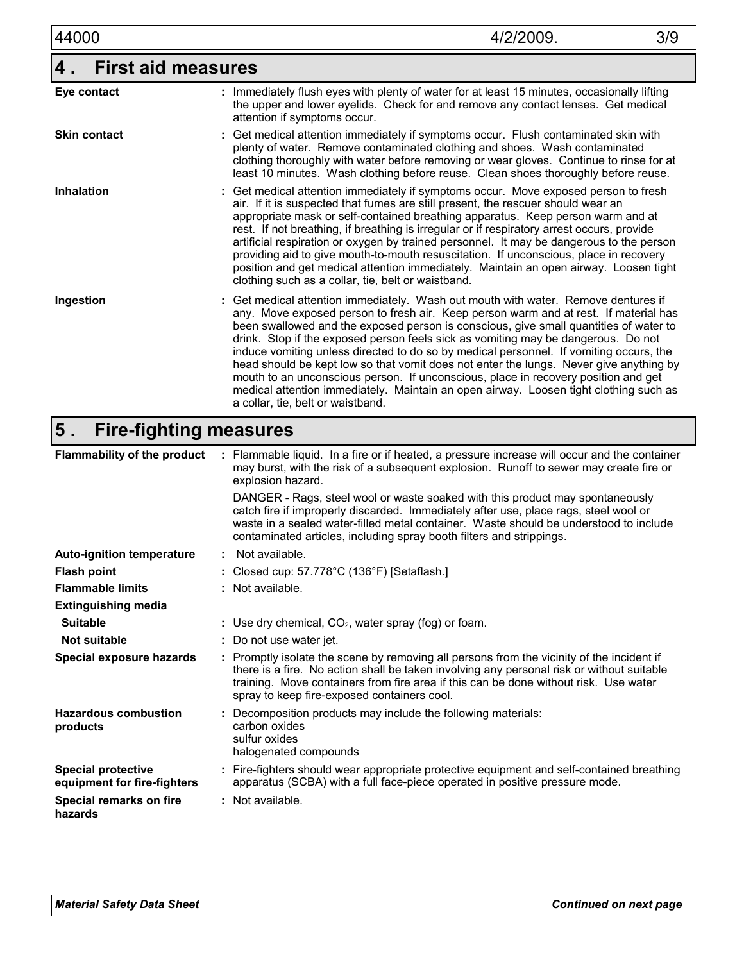| 44000               | 4/2/2009.                                                                                                                                                                                                                                                                                                                                                                                                                                                                                                                                                                                                                                                                                    | 3/9 |
|---------------------|----------------------------------------------------------------------------------------------------------------------------------------------------------------------------------------------------------------------------------------------------------------------------------------------------------------------------------------------------------------------------------------------------------------------------------------------------------------------------------------------------------------------------------------------------------------------------------------------------------------------------------------------------------------------------------------------|-----|
| 4.                  | <b>First aid measures</b>                                                                                                                                                                                                                                                                                                                                                                                                                                                                                                                                                                                                                                                                    |     |
| Eye contact         | : Immediately flush eyes with plenty of water for at least 15 minutes, occasionally lifting<br>the upper and lower eyelids. Check for and remove any contact lenses. Get medical<br>attention if symptoms occur.                                                                                                                                                                                                                                                                                                                                                                                                                                                                             |     |
| <b>Skin contact</b> | : Get medical attention immediately if symptoms occur. Flush contaminated skin with<br>plenty of water. Remove contaminated clothing and shoes. Wash contaminated<br>clothing thoroughly with water before removing or wear gloves. Continue to rinse for at<br>least 10 minutes. Wash clothing before reuse. Clean shoes thoroughly before reuse.                                                                                                                                                                                                                                                                                                                                           |     |
| <b>Inhalation</b>   | : Get medical attention immediately if symptoms occur. Move exposed person to fresh<br>air. If it is suspected that fumes are still present, the rescuer should wear an<br>appropriate mask or self-contained breathing apparatus. Keep person warm and at<br>rest. If not breathing, if breathing is irregular or if respiratory arrest occurs, provide<br>artificial respiration or oxygen by trained personnel. It may be dangerous to the person<br>providing aid to give mouth-to-mouth resuscitation. If unconscious, place in recovery<br>position and get medical attention immediately. Maintain an open airway. Loosen tight<br>clothing such as a collar, tie, belt or waistband. |     |
| Ingestion           | : Get medical attention immediately. Wash out mouth with water. Remove dentures if<br>any. Move exposed person to fresh air. Keep person warm and at rest. If material has<br>been swallowed and the exposed person is conscious, give small quantities of water to<br>drink. Stop if the exposed person feels sick as vomiting may be dangerous. Do not<br>induce vomiting unless directed to do so by medical personnel. If vomiting occurs, the<br>head should be kept low so that vomit does not enter the lungs. Never give anything by                                                                                                                                                 |     |

a collar, tie, belt or waistband.

mouth to an unconscious person. If unconscious, place in recovery position and get medical attention immediately. Maintain an open airway. Loosen tight clothing such as

**Fire-fighting measures 5 .**

| : Flammable liquid. In a fire or if heated, a pressure increase will occur and the container<br>may burst, with the risk of a subsequent explosion. Runoff to sewer may create fire or<br>explosion hazard.                                                                                                                            |
|----------------------------------------------------------------------------------------------------------------------------------------------------------------------------------------------------------------------------------------------------------------------------------------------------------------------------------------|
| DANGER - Rags, steel wool or waste soaked with this product may spontaneously<br>catch fire if improperly discarded. Immediately after use, place rags, steel wool or<br>waste in a sealed water-filled metal container. Waste should be understood to include<br>contaminated articles, including spray booth filters and strippings. |
| : Not available.                                                                                                                                                                                                                                                                                                                       |
| : Closed cup: $57.778^{\circ}$ C (136°F) [Setaflash.]                                                                                                                                                                                                                                                                                  |
| : Not available.                                                                                                                                                                                                                                                                                                                       |
|                                                                                                                                                                                                                                                                                                                                        |
| : Use dry chemical, $CO2$ , water spray (fog) or foam.                                                                                                                                                                                                                                                                                 |
| : Do not use water jet.                                                                                                                                                                                                                                                                                                                |
| : Promptly isolate the scene by removing all persons from the vicinity of the incident if<br>there is a fire. No action shall be taken involving any personal risk or without suitable<br>training. Move containers from fire area if this can be done without risk. Use water<br>spray to keep fire-exposed containers cool.          |
| : Decomposition products may include the following materials:<br>carbon oxides<br>sulfur oxides<br>halogenated compounds                                                                                                                                                                                                               |
| : Fire-fighters should wear appropriate protective equipment and self-contained breathing<br>apparatus (SCBA) with a full face-piece operated in positive pressure mode.                                                                                                                                                               |
| : Not available.                                                                                                                                                                                                                                                                                                                       |
|                                                                                                                                                                                                                                                                                                                                        |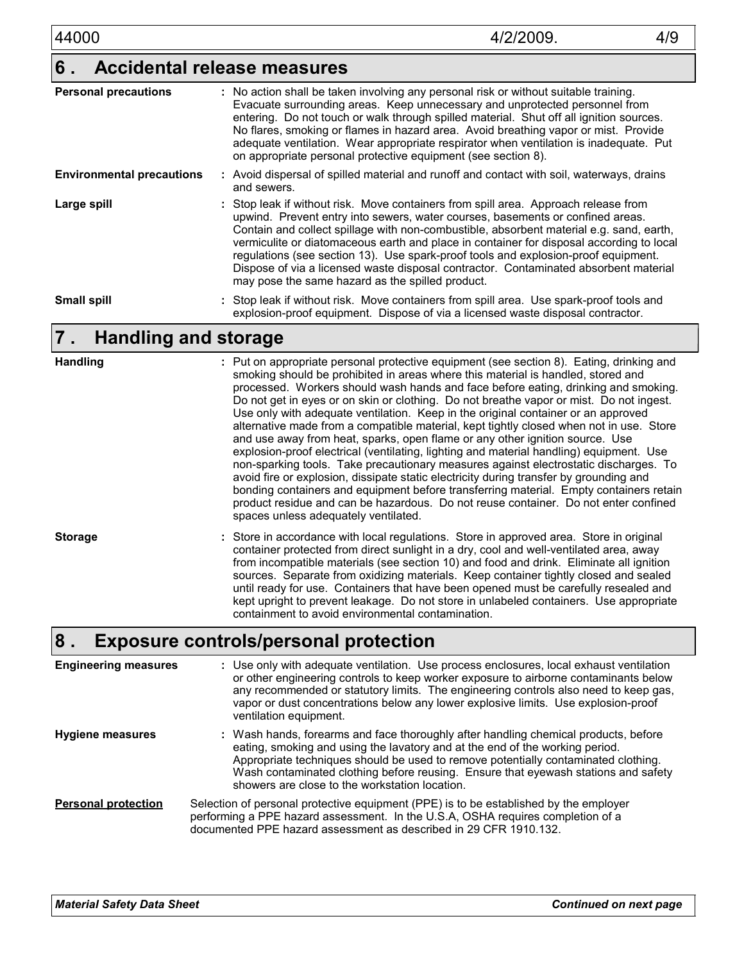#### **Accidental release measures 6 .**

| <b>Personal precautions</b>      | : No action shall be taken involving any personal risk or without suitable training.<br>Evacuate surrounding areas. Keep unnecessary and unprotected personnel from<br>entering. Do not touch or walk through spilled material. Shut off all ignition sources.<br>No flares, smoking or flames in hazard area. Avoid breathing vapor or mist. Provide<br>adequate ventilation. Wear appropriate respirator when ventilation is inadequate. Put<br>on appropriate personal protective equipment (see section 8).                                                                                |
|----------------------------------|------------------------------------------------------------------------------------------------------------------------------------------------------------------------------------------------------------------------------------------------------------------------------------------------------------------------------------------------------------------------------------------------------------------------------------------------------------------------------------------------------------------------------------------------------------------------------------------------|
| <b>Environmental precautions</b> | : Avoid dispersal of spilled material and runoff and contact with soil, waterways, drains<br>and sewers.                                                                                                                                                                                                                                                                                                                                                                                                                                                                                       |
| Large spill                      | : Stop leak if without risk. Move containers from spill area. Approach release from<br>upwind. Prevent entry into sewers, water courses, basements or confined areas.<br>Contain and collect spillage with non-combustible, absorbent material e.g. sand, earth,<br>vermiculite or diatomaceous earth and place in container for disposal according to local<br>regulations (see section 13). Use spark-proof tools and explosion-proof equipment.<br>Dispose of via a licensed waste disposal contractor. Contaminated absorbent material<br>may pose the same hazard as the spilled product. |
| <b>Small spill</b>               | : Stop leak if without risk. Move containers from spill area. Use spark-proof tools and<br>explosion-proof equipment. Dispose of via a licensed waste disposal contractor.                                                                                                                                                                                                                                                                                                                                                                                                                     |

#### **Handling and storage 7 .**

| <b>Handling</b> | : Put on appropriate personal protective equipment (see section 8). Eating, drinking and<br>smoking should be prohibited in areas where this material is handled, stored and<br>processed. Workers should wash hands and face before eating, drinking and smoking.<br>Do not get in eyes or on skin or clothing. Do not breathe vapor or mist. Do not ingest.<br>Use only with adequate ventilation. Keep in the original container or an approved<br>alternative made from a compatible material, kept tightly closed when not in use. Store<br>and use away from heat, sparks, open flame or any other ignition source. Use<br>explosion-proof electrical (ventilating, lighting and material handling) equipment. Use<br>non-sparking tools. Take precautionary measures against electrostatic discharges. To<br>avoid fire or explosion, dissipate static electricity during transfer by grounding and<br>bonding containers and equipment before transferring material. Empty containers retain<br>product residue and can be hazardous. Do not reuse container. Do not enter confined<br>spaces unless adequately ventilated. |
|-----------------|-------------------------------------------------------------------------------------------------------------------------------------------------------------------------------------------------------------------------------------------------------------------------------------------------------------------------------------------------------------------------------------------------------------------------------------------------------------------------------------------------------------------------------------------------------------------------------------------------------------------------------------------------------------------------------------------------------------------------------------------------------------------------------------------------------------------------------------------------------------------------------------------------------------------------------------------------------------------------------------------------------------------------------------------------------------------------------------------------------------------------------------|
| <b>Storage</b>  | : Store in accordance with local regulations. Store in approved area. Store in original<br>container protected from direct sunlight in a dry, cool and well-ventilated area, away<br>from incompatible materials (see section 10) and food and drink. Eliminate all ignition<br>sources. Separate from oxidizing materials. Keep container tightly closed and sealed<br>until ready for use. Containers that have been opened must be carefully resealed and<br>kept upright to prevent leakage. Do not store in unlabeled containers. Use appropriate<br>containment to avoid environmental contamination.                                                                                                                                                                                                                                                                                                                                                                                                                                                                                                                         |
|                 |                                                                                                                                                                                                                                                                                                                                                                                                                                                                                                                                                                                                                                                                                                                                                                                                                                                                                                                                                                                                                                                                                                                                     |

#### **Exposure controls/personal protection 8 .**

| <b>Engineering measures</b> | : Use only with adequate ventilation. Use process enclosures, local exhaust ventilation<br>or other engineering controls to keep worker exposure to airborne contaminants below<br>any recommended or statutory limits. The engineering controls also need to keep gas,<br>vapor or dust concentrations below any lower explosive limits. Use explosion-proof<br>ventilation equipment.           |
|-----------------------------|---------------------------------------------------------------------------------------------------------------------------------------------------------------------------------------------------------------------------------------------------------------------------------------------------------------------------------------------------------------------------------------------------|
| <b>Hygiene measures</b>     | : Wash hands, forearms and face thoroughly after handling chemical products, before<br>eating, smoking and using the lavatory and at the end of the working period.<br>Appropriate techniques should be used to remove potentially contaminated clothing.<br>Wash contaminated clothing before reusing. Ensure that eyewash stations and safety<br>showers are close to the workstation location. |
| <b>Personal protection</b>  | Selection of personal protective equipment (PPE) is to be established by the employer<br>performing a PPE hazard assessment. In the U.S.A, OSHA requires completion of a<br>documented PPE hazard assessment as described in 29 CFR 1910.132.                                                                                                                                                     |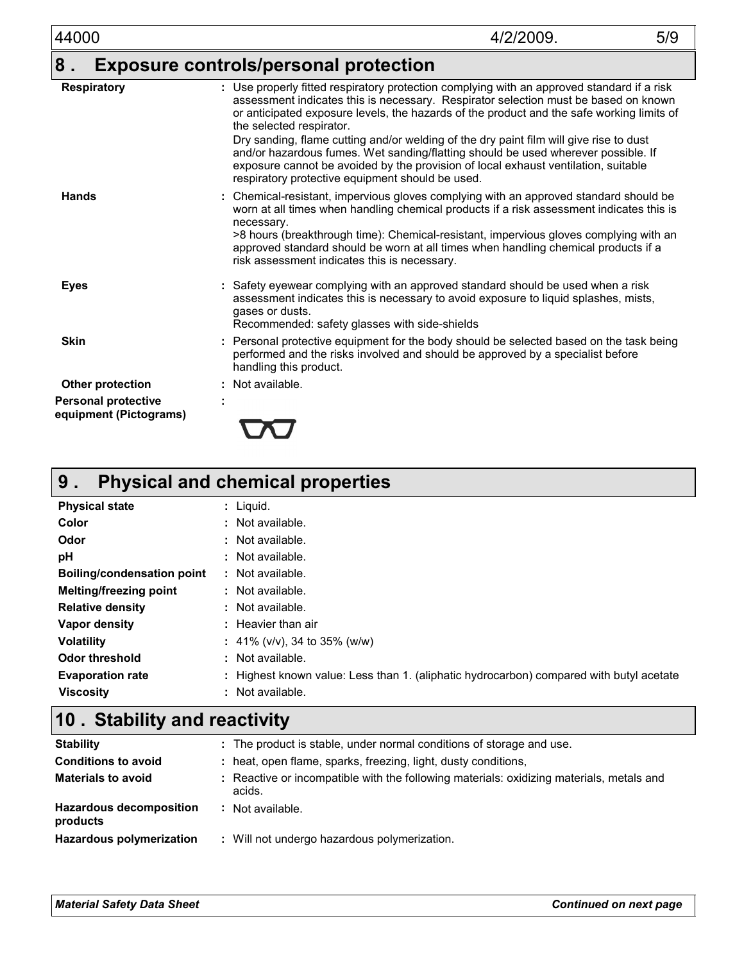| 44000                                                | 4/2/2009.<br>5/9                                                                                                                                                                                                                                                                                                                                                                                     |
|------------------------------------------------------|------------------------------------------------------------------------------------------------------------------------------------------------------------------------------------------------------------------------------------------------------------------------------------------------------------------------------------------------------------------------------------------------------|
| 8.                                                   | <b>Exposure controls/personal protection</b>                                                                                                                                                                                                                                                                                                                                                         |
| <b>Respiratory</b>                                   | : Use properly fitted respiratory protection complying with an approved standard if a risk<br>assessment indicates this is necessary. Respirator selection must be based on known<br>or anticipated exposure levels, the hazards of the product and the safe working limits of<br>the selected respirator.<br>Dry sanding, flame cutting and/or welding of the dry paint film will give rise to dust |
|                                                      | and/or hazardous fumes. Wet sanding/flatting should be used wherever possible. If<br>exposure cannot be avoided by the provision of local exhaust ventilation, suitable<br>respiratory protective equipment should be used.                                                                                                                                                                          |
| <b>Hands</b>                                         | : Chemical-resistant, impervious gloves complying with an approved standard should be<br>worn at all times when handling chemical products if a risk assessment indicates this is<br>necessary.<br>>8 hours (breakthrough time): Chemical-resistant, impervious gloves complying with an                                                                                                             |
|                                                      | approved standard should be worn at all times when handling chemical products if a<br>risk assessment indicates this is necessary.                                                                                                                                                                                                                                                                   |
| <b>Eyes</b>                                          | Safety eyewear complying with an approved standard should be used when a risk<br>assessment indicates this is necessary to avoid exposure to liquid splashes, mists,<br>gases or dusts.<br>Recommended: safety glasses with side-shields                                                                                                                                                             |
| <b>Skin</b>                                          | Personal protective equipment for the body should be selected based on the task being<br>performed and the risks involved and should be approved by a specialist before<br>handling this product.                                                                                                                                                                                                    |
| Other protection                                     | : Not available.                                                                                                                                                                                                                                                                                                                                                                                     |
| <b>Personal protective</b><br>equipment (Pictograms) |                                                                                                                                                                                                                                                                                                                                                                                                      |

| 9 <sub>1</sub>                    | <b>Physical and chemical properties</b>                                                 |
|-----------------------------------|-----------------------------------------------------------------------------------------|
| <b>Physical state</b>             | : Liguid.                                                                               |
| Color                             | $:$ Not available.                                                                      |
| Odor                              | : Not available.                                                                        |
| рH                                | : Not available.                                                                        |
| <b>Boiling/condensation point</b> | : Not available.                                                                        |
| <b>Melting/freezing point</b>     | : Not available.                                                                        |
| <b>Relative density</b>           | : Not available.                                                                        |
| Vapor density                     | $:$ Heavier than air                                                                    |
| <b>Volatility</b>                 | : 41% ( $v/v$ ), 34 to 35% ( $w/w$ )                                                    |
| Odor threshold                    | : Not available.                                                                        |
| <b>Evaporation rate</b>           | : Highest known value: Less than 1. (aliphatic hydrocarbon) compared with butyl acetate |
| <b>Viscosity</b>                  | : Not available.                                                                        |

### **Stability and reactivity 10 .**

| <b>Stability</b>                           | : The product is stable, under normal conditions of storage and use.                               |
|--------------------------------------------|----------------------------------------------------------------------------------------------------|
| <b>Conditions to avoid</b>                 | : heat, open flame, sparks, freezing, light, dusty conditions,                                     |
| <b>Materials to avoid</b>                  | : Reactive or incompatible with the following materials: oxidizing materials, metals and<br>acids. |
| <b>Hazardous decomposition</b><br>products | Not available.                                                                                     |
| Hazardous polymerization                   | : Will not undergo hazardous polymerization.                                                       |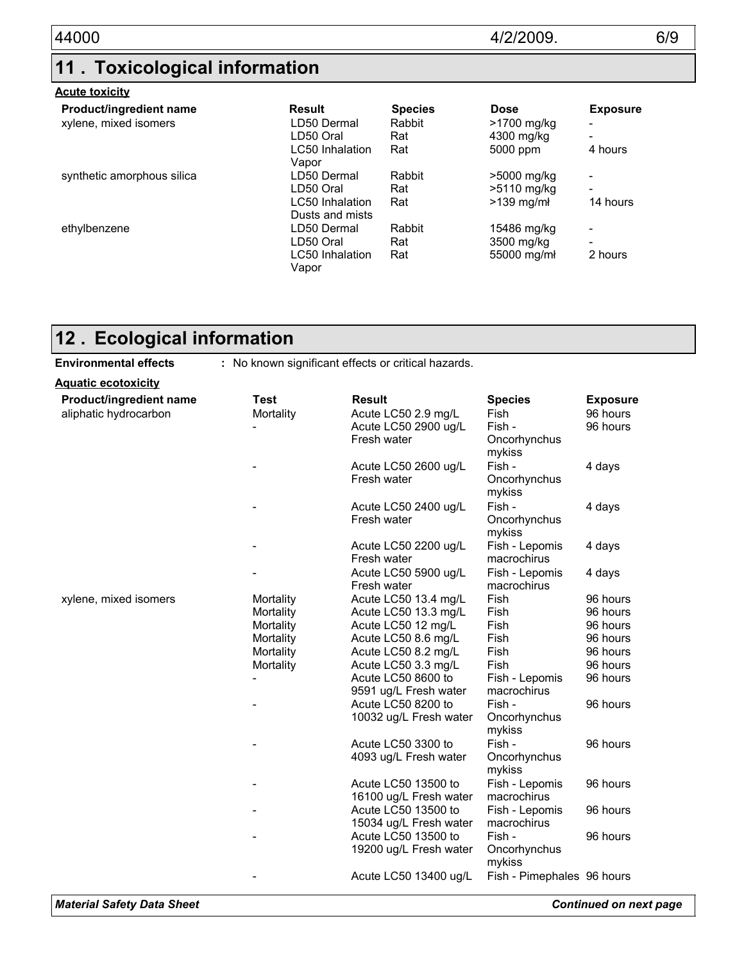# **11 . Toxicological information**

#### **Acute toxicity**

| Product/ingredient name    | Result                             | <b>Species</b> | <b>Dose</b>         | <b>Exposure</b>          |
|----------------------------|------------------------------------|----------------|---------------------|--------------------------|
| xylene, mixed isomers      | LD50 Dermal                        | Rabbit         | >1700 mg/kg         |                          |
|                            | LD50 Oral                          | Rat            | 4300 mg/kg          | -                        |
|                            | LC50 Inhalation<br>Vapor           | Rat            | 5000 ppm            | 4 hours                  |
| synthetic amorphous silica | LD50 Dermal                        | Rabbit         | >5000 mg/kg         | $\overline{\phantom{0}}$ |
|                            | LD50 Oral                          | Rat            | >5110 mg/kg         | $\overline{\phantom{0}}$ |
|                            | LC50 Inhalation<br>Dusts and mists | Rat            | $>139$ mg/m $\cdot$ | 14 hours                 |
| ethylbenzene               | LD50 Dermal                        | Rabbit         | 15486 mg/kg         | -                        |
|                            | LD50 Oral                          | Rat            | 3500 mg/kg          | $\overline{\phantom{0}}$ |
|                            | LC50 Inhalation<br>Vapor           | Rat            | 55000 mg/mł         | 2 hours                  |

## **Ecological information 12 .**

| <b>Environmental effects</b> | : No known significant effects or critical hazards. |                        |                            |                 |  |
|------------------------------|-----------------------------------------------------|------------------------|----------------------------|-----------------|--|
| <u> Aquatic ecotoxicity</u>  |                                                     |                        |                            |                 |  |
| Product/ingredient name      | <b>Test</b>                                         | <b>Result</b>          | <b>Species</b>             | <b>Exposure</b> |  |
| aliphatic hydrocarbon        | Mortality                                           | Acute LC50 2.9 mg/L    | Fish                       | 96 hours        |  |
|                              |                                                     | Acute LC50 2900 ug/L   | Fish -                     | 96 hours        |  |
|                              |                                                     | Fresh water            | Oncorhynchus               |                 |  |
|                              |                                                     |                        | mykiss                     |                 |  |
|                              |                                                     | Acute LC50 2600 ug/L   | Fish -                     | 4 days          |  |
|                              |                                                     | Fresh water            | Oncorhynchus               |                 |  |
|                              |                                                     |                        | mykiss                     |                 |  |
|                              |                                                     | Acute LC50 2400 ug/L   | Fish -                     | 4 days          |  |
|                              |                                                     | Fresh water            | Oncorhynchus<br>mykiss     |                 |  |
|                              |                                                     | Acute LC50 2200 ug/L   | Fish - Lepomis             | 4 days          |  |
|                              |                                                     | Fresh water            | macrochirus                |                 |  |
|                              |                                                     | Acute LC50 5900 ug/L   | Fish - Lepomis             | 4 days          |  |
|                              |                                                     | Fresh water            | macrochirus                |                 |  |
| xylene, mixed isomers        | Mortality                                           | Acute LC50 13.4 mg/L   | Fish                       | 96 hours        |  |
|                              | Mortality                                           | Acute LC50 13.3 mg/L   | Fish                       | 96 hours        |  |
|                              | Mortality                                           | Acute LC50 12 mg/L     | Fish                       | 96 hours        |  |
|                              | Mortality                                           | Acute LC50 8.6 mg/L    | Fish                       | 96 hours        |  |
|                              | Mortality                                           | Acute LC50 8.2 mg/L    | Fish                       | 96 hours        |  |
|                              | Mortality                                           | Acute LC50 3.3 mg/L    | Fish                       | 96 hours        |  |
|                              |                                                     | Acute LC50 8600 to     | Fish - Lepomis             | 96 hours        |  |
|                              |                                                     | 9591 ug/L Fresh water  | macrochirus                |                 |  |
|                              |                                                     | Acute LC50 8200 to     | Fish -                     | 96 hours        |  |
|                              |                                                     | 10032 ug/L Fresh water | Oncorhynchus               |                 |  |
|                              |                                                     | Acute LC50 3300 to     | mykiss<br>Fish -           | 96 hours        |  |
|                              |                                                     | 4093 ug/L Fresh water  | Oncorhynchus               |                 |  |
|                              |                                                     |                        | mykiss                     |                 |  |
|                              |                                                     | Acute LC50 13500 to    | Fish - Lepomis             | 96 hours        |  |
|                              |                                                     | 16100 ug/L Fresh water | macrochirus                |                 |  |
|                              |                                                     | Acute LC50 13500 to    | Fish - Lepomis             | 96 hours        |  |
|                              |                                                     | 15034 ug/L Fresh water | macrochirus                |                 |  |
|                              |                                                     | Acute LC50 13500 to    | Fish -                     | 96 hours        |  |
|                              |                                                     | 19200 ug/L Fresh water | Oncorhynchus               |                 |  |
|                              |                                                     |                        | mykiss                     |                 |  |
|                              |                                                     | Acute LC50 13400 ug/L  | Fish - Pimephales 96 hours |                 |  |
|                              |                                                     |                        |                            |                 |  |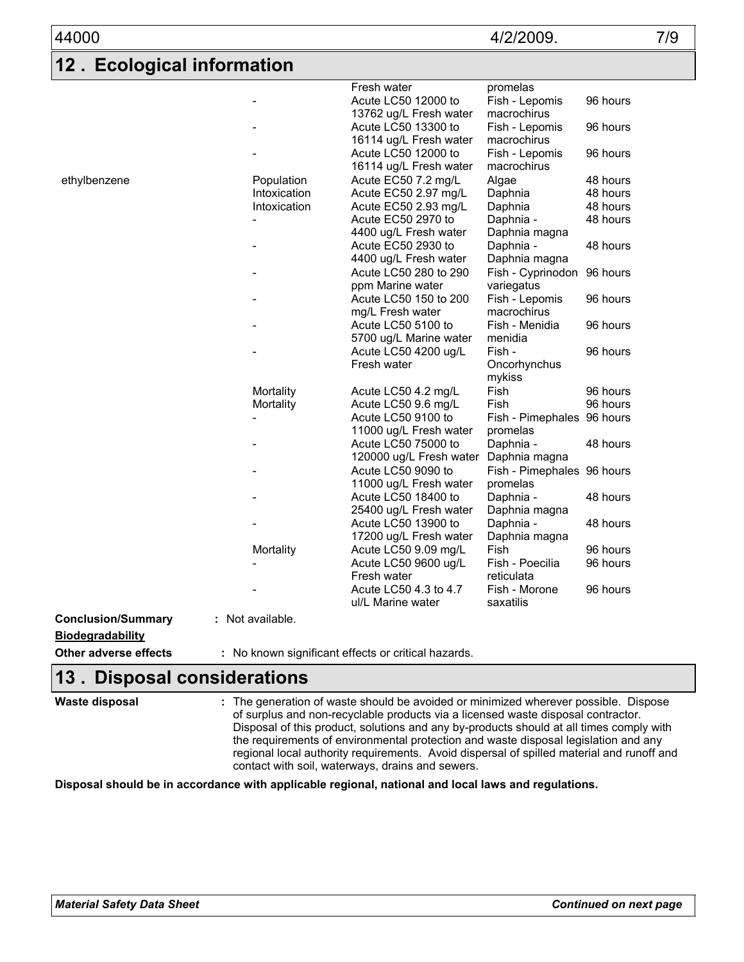| 44000                                |                            |                                                              | 4/2/2009.                                 | 7/9                  |
|--------------------------------------|----------------------------|--------------------------------------------------------------|-------------------------------------------|----------------------|
| <b>Ecological information</b><br>l12 |                            |                                                              |                                           |                      |
|                                      |                            | Fresh water<br>Acute LC50 12000 to<br>13762 ug/L Fresh water | promelas<br>Fish - Lepomis<br>macrochirus | 96 hours             |
|                                      |                            | Acute LC50 13300 to<br>16114 ug/L Fresh water                | Fish - Lepomis<br>macrochirus             | 96 hours             |
|                                      |                            | Acute LC50 12000 to<br>16114 ug/L Fresh water                | Fish - Lepomis<br>macrochirus             | 96 hours             |
| ethylbenzene                         | Population<br>Intoxication | Acute EC50 7.2 mg/L<br>Acute EC50 2.97 mg/L                  | Algae<br>Daphnia                          | 48 hours<br>48 hours |
|                                      | Intoxication               | Acute EC50 2.93 mg/L                                         | Daphnia                                   | 48 hours             |
|                                      |                            | Acute EC50 2970 to                                           | Daphnia -                                 | 48 hours             |
|                                      |                            | 4400 ug/L Fresh water                                        | Daphnia magna                             |                      |
|                                      |                            | Acute EC50 2930 to                                           | Daphnia -                                 | 48 hours             |
|                                      |                            | 4400 ug/L Fresh water<br>Acute LC50 280 to 290               | Daphnia magna<br>Fish - Cyprinodon        | 96 hours             |
|                                      |                            | ppm Marine water                                             | variegatus                                |                      |
|                                      |                            | Acute LC50 150 to 200                                        | Fish - Lepomis                            | 96 hours             |
|                                      |                            | mg/L Fresh water                                             | macrochirus                               |                      |
|                                      |                            | Acute LC50 5100 to                                           | Fish - Menidia                            | 96 hours             |
|                                      |                            | 5700 ug/L Marine water                                       | menidia                                   |                      |
|                                      |                            | Acute LC50 4200 ug/L                                         | Fish -                                    | 96 hours             |
|                                      |                            | Fresh water                                                  | Oncorhynchus<br>mykiss                    |                      |
|                                      | Mortality                  | Acute LC50 4.2 mg/L                                          | Fish                                      | 96 hours             |
|                                      | Mortality                  | Acute LC50 9.6 mg/L                                          | Fish                                      | 96 hours             |
|                                      |                            | Acute LC50 9100 to                                           | Fish - Pimephales 96 hours                |                      |
|                                      |                            | 11000 ug/L Fresh water                                       | promelas                                  |                      |
|                                      |                            | Acute LC50 75000 to                                          | Daphnia -                                 | 48 hours             |
|                                      |                            | 120000 ug/L Fresh water                                      | Daphnia magna                             |                      |
|                                      |                            | Acute LC50 9090 to                                           | Fish - Pimephales 96 hours                |                      |
|                                      |                            | 11000 ug/L Fresh water                                       | promelas                                  |                      |
|                                      |                            | Acute LC50 18400 to                                          | Daphnia -                                 | 48 hours             |
|                                      |                            | 25400 ug/L Fresh water                                       | Daphnia magna                             |                      |
|                                      |                            | Acute LC50 13900 to                                          | Daphnia -                                 | 48 hours             |
|                                      |                            | 17200 ug/L Fresh water                                       | Daphnia magna                             |                      |
|                                      | Mortality                  | Acute LC50 9.09 mg/L                                         | Fish                                      | 96 hours             |
|                                      |                            | Acute LC50 9600 ug/L<br>Fresh water                          | Fish - Poecilia<br>reticulata             | 96 hours             |
|                                      |                            | Acute LC50 4.3 to 4.7<br>ul/L Marine water                   | Fish - Morone<br>saxatilis                | 96 hours             |
| <b>Conclusion/Summary</b>            | : Not available.           |                                                              |                                           |                      |
| <b>Biodegradability</b>              |                            |                                                              |                                           |                      |
|                                      |                            |                                                              |                                           |                      |
| Other adverse effects                |                            | : No known significant effects or critical hazards.          |                                           |                      |

### **Disposal considerations 13 .**

| Waste disposal | : The generation of waste should be avoided or minimized wherever possible. Dispose<br>of surplus and non-recyclable products via a licensed waste disposal contractor.<br>Disposal of this product, solutions and any by-products should at all times comply with<br>the requirements of environmental protection and waste disposal legislation and any<br>regional local authority requirements. Avoid dispersal of spilled material and runoff and<br>contact with soil, waterways, drains and sewers. |
|----------------|------------------------------------------------------------------------------------------------------------------------------------------------------------------------------------------------------------------------------------------------------------------------------------------------------------------------------------------------------------------------------------------------------------------------------------------------------------------------------------------------------------|
|----------------|------------------------------------------------------------------------------------------------------------------------------------------------------------------------------------------------------------------------------------------------------------------------------------------------------------------------------------------------------------------------------------------------------------------------------------------------------------------------------------------------------------|

**Disposal should be in accordance with applicable regional, national and local laws and regulations.**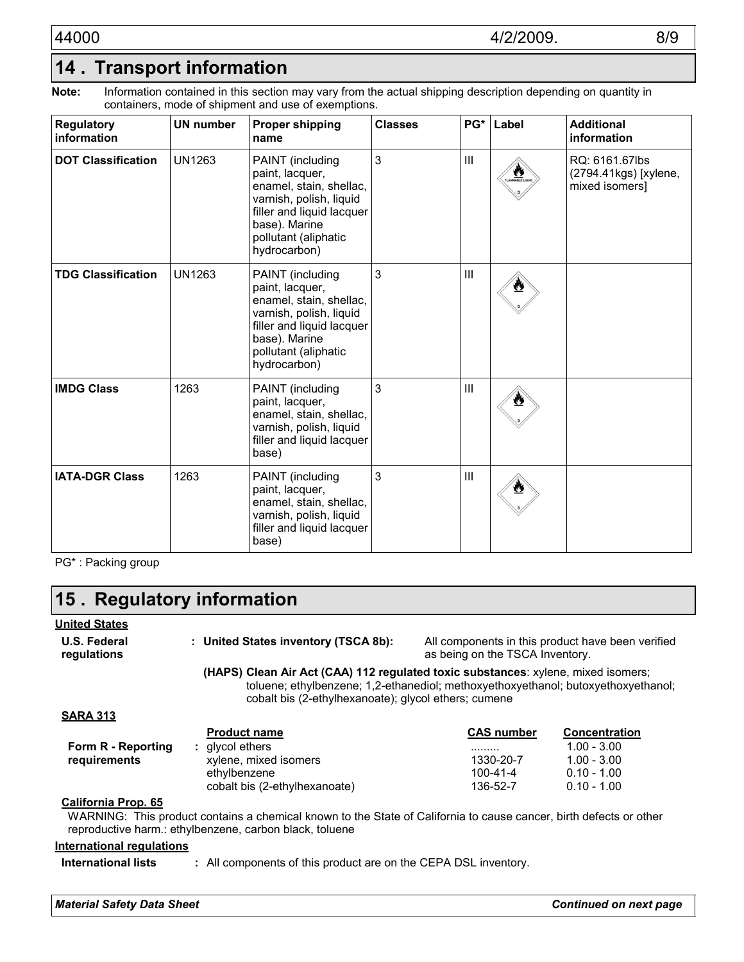Information contained in this section may vary from the actual shipping description depending on quantity in containers, mode of shipment and use of exemptions. **Note:**

| <b>Regulatory</b><br>information | <b>UN number</b> | <b>Proper shipping</b><br>name                                                                                                                                                  | <b>Classes</b> |                    | PG* Label    | <b>Additional</b><br>information                          |
|----------------------------------|------------------|---------------------------------------------------------------------------------------------------------------------------------------------------------------------------------|----------------|--------------------|--------------|-----------------------------------------------------------|
| <b>DOT Classification</b>        | <b>UN1263</b>    | PAINT (including<br>paint, lacquer,<br>enamel, stain, shellac,<br>varnish, polish, liquid<br>filler and liquid lacquer<br>base). Marine<br>pollutant (aliphatic<br>hydrocarbon) | 3              | $\mathop{\rm III}$ | <b>ALLES</b> | RQ: 6161.67lbs<br>(2794.41kgs) [xylene,<br>mixed isomers] |
| <b>TDG Classification</b>        | <b>UN1263</b>    | PAINT (including<br>paint, lacquer,<br>enamel, stain, shellac,<br>varnish, polish, liquid<br>filler and liquid lacquer<br>base). Marine<br>pollutant (aliphatic<br>hydrocarbon) | 3              | $\mathop{\rm III}$ |              |                                                           |
| <b>IMDG Class</b>                | 1263             | PAINT (including<br>paint, lacquer,<br>enamel, stain, shellac,<br>varnish, polish, liquid<br>filler and liquid lacquer<br>base)                                                 | 3              | $\mathop{\rm III}$ |              |                                                           |
| <b>IATA-DGR Class</b>            | 1263             | PAINT (including<br>paint, lacquer,<br>enamel, stain, shellac,<br>varnish, polish, liquid<br>filler and liquid lacquer<br>base)                                                 | 3              | Ш                  |              |                                                           |

PG\* : Packing group

## **Regulatory information 15 .**

#### **United States**

| <b>U.S. Federal</b><br>regulations | : United States inventory (TSCA 8b):                                                                                                                                                                                           | as being on the TSCA Inventory. | All components in this product have been verified |
|------------------------------------|--------------------------------------------------------------------------------------------------------------------------------------------------------------------------------------------------------------------------------|---------------------------------|---------------------------------------------------|
|                                    | (HAPS) Clean Air Act (CAA) 112 regulated toxic substances: xylene, mixed isomers;<br>toluene; ethylbenzene; 1,2-ethanediol; methoxyethoxyethanol; butoxyethoxyethanol;<br>cobalt bis (2-ethylhexanoate); glycol ethers; cumene |                                 |                                                   |
| <b>SARA 313</b>                    |                                                                                                                                                                                                                                |                                 |                                                   |
|                                    | <b>Product name</b>                                                                                                                                                                                                            | <b>CAS number</b>               | <b>Concentration</b>                              |
| Form R - Reporting                 | : givcol ethers                                                                                                                                                                                                                | .                               | $1.00 - 3.00$                                     |
| requirements                       | xylene, mixed isomers                                                                                                                                                                                                          | 1330-20-7                       | $1.00 - 3.00$                                     |
|                                    | ethylbenzene                                                                                                                                                                                                                   | $100 - 41 - 4$                  | $0.10 - 1.00$                                     |
|                                    | cobalt bis (2-ethylhexanoate)                                                                                                                                                                                                  | 136-52-7                        | $0.10 - 1.00$                                     |
| California Prop. 65                | WARNING: This product contains a chemical known to the State of California to cause cancer, birth defects or other<br>reproductive harm.: ethylbenzene, carbon black, toluene                                                  |                                 |                                                   |

#### **International regulations**

**International lists :** All components of this product are on the CEPA DSL inventory.

*Material Safety Data Sheet Continued on next page*